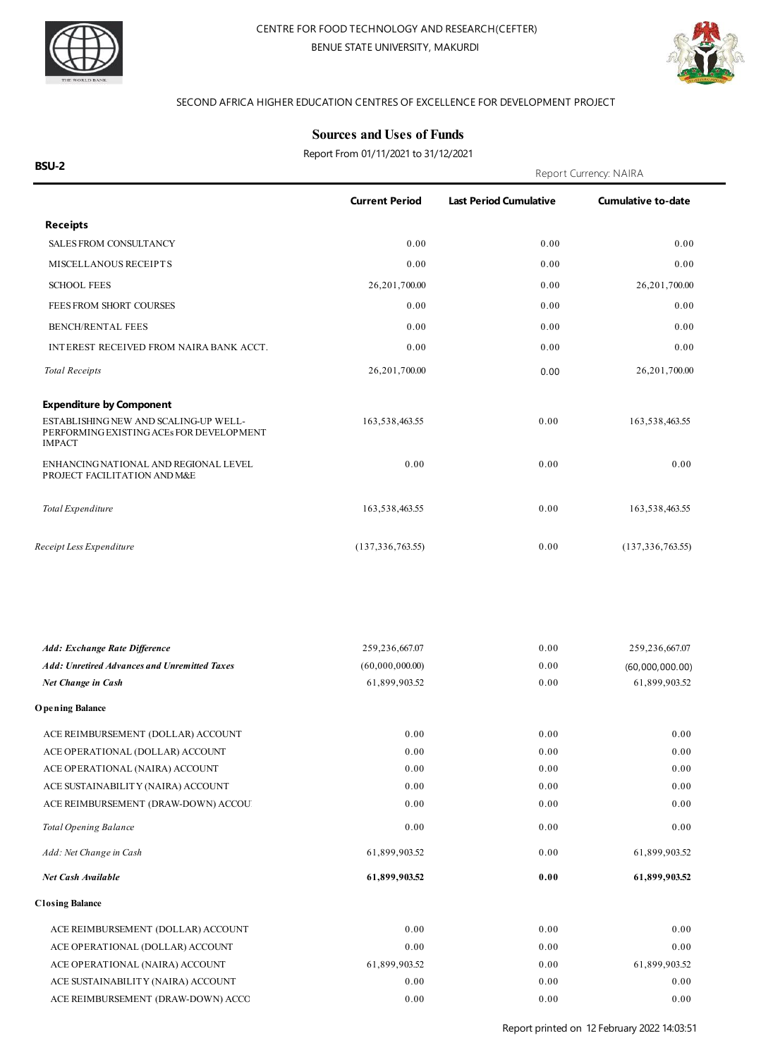



#### SECOND AFRICA HIGHER EDUCATION CENTRES OF EXCELLENCE FOR DEVELOPMENT PROJECT

### **Sources and Uses of Funds**

Report From 01/11/2021 to 31/12/2021

| <b>BSU-2</b>                                                                                       |                       | Report Currency: NAIRA        |                           |
|----------------------------------------------------------------------------------------------------|-----------------------|-------------------------------|---------------------------|
|                                                                                                    | <b>Current Period</b> | <b>Last Period Cumulative</b> | <b>Cumulative to-date</b> |
| <b>Receipts</b>                                                                                    |                       |                               |                           |
| <b>SALES FROM CONSULTANCY</b>                                                                      | 0.00                  | 0.00                          | 0.00                      |
| MISCELLANOUS RECEIPTS                                                                              | 0.00                  | 0.00                          | 0.00                      |
| <b>SCHOOL FEES</b>                                                                                 | 26,201,700.00         | 0.00                          | 26,201,700.00             |
| <b>FEES FROM SHORT COURSES</b>                                                                     | 0.00                  | 0.00                          | 0.00                      |
| <b>BENCH/RENTAL FEES</b>                                                                           | 0.00                  | 0.00                          | 0.00                      |
| INTEREST RECEIVED FROM NAIRA BANK ACCT.                                                            | 0.00                  | 0.00                          | 0.00                      |
|                                                                                                    |                       |                               |                           |
| <b>Total Receipts</b>                                                                              | 26,201,700.00         | 0.00                          | 26,201,700.00             |
| <b>Expenditure by Component</b>                                                                    |                       |                               |                           |
| ESTABLISHING NEW AND SCALING-UP WELL-<br>PERFORMING EXISTING ACEs FOR DEVELOPMENT<br><b>IMPACT</b> | 163,538,463.55        | 0.00                          | 163,538,463.55            |
| ENHANCING NATIONAL AND REGIONAL LEVEL<br>PROJECT FACILITATION AND M&E                              | 0.00                  | 0.00                          | 0.00                      |
| Total Expenditure                                                                                  | 163,538,463.55        | 0.00                          | 163,538,463.55            |
| Receipt Less Expenditure                                                                           | (137, 336, 763.55)    | 0.00                          | (137, 336, 763.55)        |
|                                                                                                    |                       |                               |                           |
| Add: Exchange Rate Difference                                                                      | 259,236,667.07        | 0.00                          | 259,236,667.07            |
| <b>Add: Unretired Advances and Unremitted Taxes</b>                                                | (60,000,000.00)       | 0.00                          | (60,000,000.00)           |
| <b>Net Change in Cash</b>                                                                          | 61,899,903.52         | 0.00                          | 61,899,903.52             |
| <b>Opening Balance</b>                                                                             |                       |                               |                           |
| ACE REIMBURSEMENT (DOLLAR) ACCOUNT                                                                 | 0.00                  | 0.00                          | 0.00                      |
| ACE OPERATIONAL (DOLLAR) ACCOUNT                                                                   | 0.00                  | 0.00                          | 0.00                      |
| ACE OPERATIONAL (NAIRA) ACCOUNT                                                                    | 0.00                  | 0.00                          | 0.00                      |
| ACE SUSTAINABILITY (NAIRA) ACCOUNT                                                                 | 0.00                  | 0.00                          | 0.00                      |
| ACE REIMBURSEMENT (DRAW-DOWN) ACCOU                                                                | 0.00                  | 0.00                          | 0.00                      |
| Total Opening Balance                                                                              | 0.00                  | 0.00                          | 0.00                      |
| Add: Net Change in Cash                                                                            | 61,899,903.52         | 0.00                          | 61,899,903.52             |
| Net Cash Available                                                                                 | 61,899,903.52         | 0.00                          | 61,899,903.52             |
| <b>Closing Balance</b>                                                                             |                       |                               |                           |
| ACE REIMBURSEMENT (DOLLAR) ACCOUNT                                                                 | 0.00                  | 0.00                          | 0.00                      |
| ACE OPERATIONAL (DOLLAR) ACCOUNT                                                                   | 0.00                  | 0.00                          | 0.00                      |
| ACE OPERATIONAL (NAIRA) ACCOUNT                                                                    | 61,899,903.52         | 0.00                          | 61,899,903.52             |
| ACE SUSTAINABILITY (NAIRA) ACCOUNT                                                                 | 0.00                  | 0.00                          | 0.00                      |
| ACE REIMBURSEMENT (DRAW-DOWN) ACCO                                                                 | 0.00                  | 0.00                          | 0.00                      |

Report printed on 12 February 2022 14:03:51